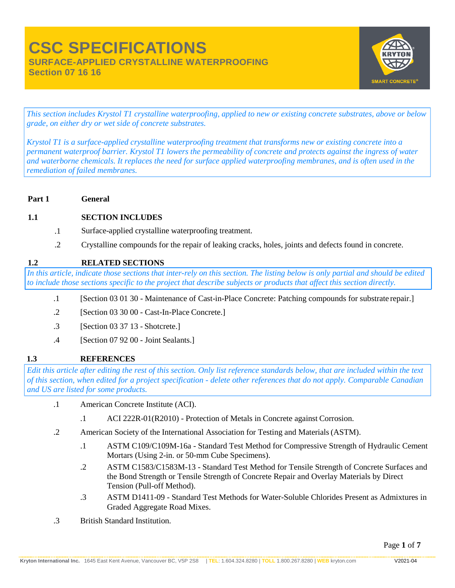

**Section 07 16 16**

*This section includes Krystol T1 crystalline waterproofing, applied to new or existing concrete substrates, above or below grade, on either dry or wet side of concrete substrates.*

*Krystol T1 is a surface-applied crystalline waterproofing treatment that transforms new or existing concrete into a permanent waterproof barrier. Krystol T1 lowers the permeability of concrete and protects against the ingress of water and waterborne chemicals. It replaces the need for surface applied waterproofing membranes, and is often used in the remediation of failed membranes.*

#### **Part 1 General**

#### **1.1 SECTION INCLUDES**

- .1 Surface-applied crystalline waterproofing treatment.
- .2 Crystalline compounds for the repair of leaking cracks, holes, joints and defects found in concrete.

#### **1.2 RELATED SECTIONS**

*In this article, indicate those sections that inter-rely on this section. The listing below is only partial and should be edited to include those sections specific to the project that describe subjects or products that affect this section directly.*

- .1 [Section 03 01 30 Maintenance of Cast-in-Place Concrete: Patching compounds for substrate repair.]
- .2 [Section 03 30 00 Cast-In-Place Concrete.]
- .3 [Section 03 37 13 Shotcrete.]
- .4 [Section 07 92 00 Joint Sealants.]

#### **1.3 REFERENCES**

*Edit this article after editing the rest of this section. Only list reference standards below, that are included within the text of this section, when edited for a project specification - delete other references that do not apply. Comparable Canadian and US are listed for some products.*

- .1 American Concrete Institute (ACI).
	- .1 ACI 222R-01(R2010) Protection of Metals in Concrete against Corrosion.
- .2 American Society of the International Association for Testing and Materials(ASTM).
	- .1 ASTM C109/C109M-16a Standard Test Method for Compressive Strength of Hydraulic Cement Mortars (Using 2-in. or 50-mm Cube Specimens).
	- .2 ASTM C1583/C1583M-13 Standard Test Method for Tensile Strength of Concrete Surfaces and the Bond Strength or Tensile Strength of Concrete Repair and Overlay Materials by Direct Tension (Pull-off Method).
	- .3 ASTM D1411-09 Standard Test Methods for Water-Soluble Chlorides Present as Admixtures in Graded Aggregate Road Mixes.
- .3 British Standard Institution.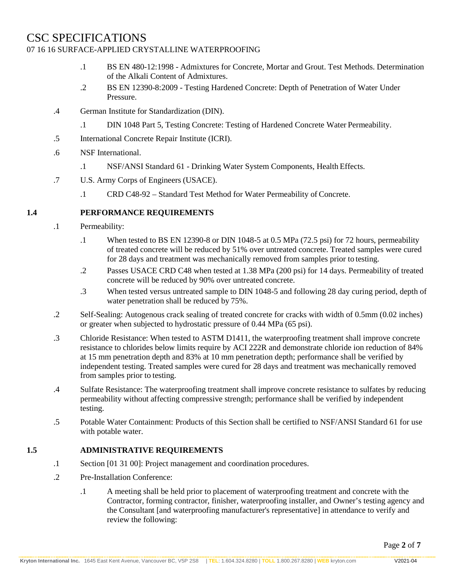## CSC SPECIFICATIONS

#### 07 16 16 SURFACE-APPLIED CRYSTALLINE WATERPROOFING

- .1 BS EN 480-12:1998 Admixtures for Concrete, Mortar and Grout. Test Methods. Determination of the Alkali Content of Admixtures.
- .2 BS EN 12390-8:2009 Testing Hardened Concrete: Depth of Penetration of Water Under Pressure.
- .4 German Institute for Standardization (DIN).
	- .1 DIN 1048 Part 5, Testing Concrete: Testing of Hardened Concrete Water Permeability.
- .5 International Concrete Repair Institute (ICRI).
- .6 NSF International.
	- .1 NSF/ANSI Standard 61 Drinking Water System Components, Health Effects.
- .7 U.S. Army Corps of Engineers (USACE).
	- .1 CRD C48-92 Standard Test Method for Water Permeability of Concrete.

#### **1.4 PERFORMANCE REQUIREMENTS**

- .1 Permeability:
	- .1 When tested to BS EN 12390-8 or DIN 1048-5 at 0.5 MPa (72.5 psi) for 72 hours, permeability of treated concrete will be reduced by 51% over untreated concrete. Treated samples were cured for 28 days and treatment was mechanically removed from samples prior to testing.
	- .2 Passes USACE CRD C48 when tested at 1.38 MPa (200 psi) for 14 days. Permeability of treated concrete will be reduced by 90% over untreated concrete.
	- .3 When tested versus untreated sample to DIN 1048-5 and following 28 day curing period, depth of water penetration shall be reduced by 75%.
- .2 Self-Sealing: Autogenous crack sealing of treated concrete for cracks with width of 0.5mm (0.02 inches) or greater when subjected to hydrostatic pressure of 0.44 MPa (65 psi).
- .3 Chloride Resistance: When tested to ASTM D1411, the waterproofing treatment shall improve concrete resistance to chlorides below limits require by ACI 222R and demonstrate chloride ion reduction of 84% at 15 mm penetration depth and 83% at 10 mm penetration depth; performance shall be verified by independent testing. Treated samples were cured for 28 days and treatment was mechanically removed from samples prior to testing.
- .4 Sulfate Resistance: The waterproofing treatment shall improve concrete resistance to sulfates by reducing permeability without affecting compressive strength; performance shall be verified by independent testing.
- .5 Potable Water Containment: Products of this Section shall be certified to NSF/ANSI Standard 61 for use with potable water.

#### **1.5 ADMINISTRATIVE REQUIREMENTS**

- .1 Section [01 31 00]: Project management and coordination procedures.
- .2 Pre-Installation Conference:
	- .1 A meeting shall be held prior to placement of waterproofing treatment and concrete with the Contractor, forming contractor, finisher, waterproofing installer, and Owner's testing agency and the Consultant [and waterproofing manufacturer's representative] in attendance to verify and review the following: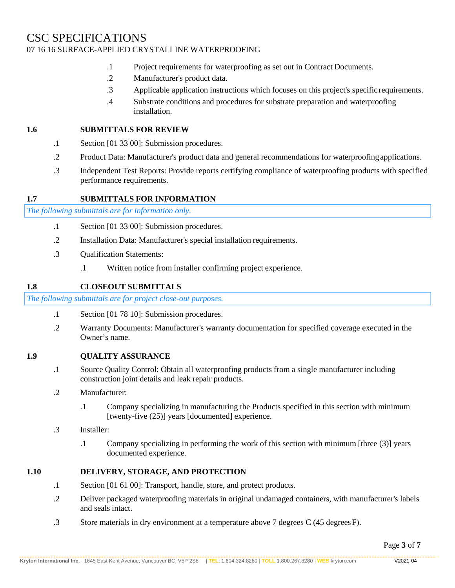- .1 Project requirements for waterproofing as set out in Contract Documents.
- .2 Manufacturer's product data.
- .3 Applicable application instructions which focuses on this project's specific requirements.
- .4 Substrate conditions and procedures for substrate preparation and waterproofing installation.

#### **1.6 SUBMITTALS FOR REVIEW**

- .1 Section [01 33 00]: Submission procedures.
- .2 Product Data: Manufacturer's product data and general recommendations for waterproofingapplications.
- .3 Independent Test Reports: Provide reports certifying compliance of waterproofing products with specified performance requirements.

#### **1.7 SUBMITTALS FOR INFORMATION**

*The following submittals are for information only.*

- .1 Section [01 33 00]: Submission procedures.
- .2 Installation Data: Manufacturer's special installation requirements.
- .3 Qualification Statements:
	- .1 Written notice from installer confirming project experience.

#### **1.8 CLOSEOUT SUBMITTALS**

*The following submittals are for project close-out purposes.*

- .1 Section [01 78 10]: Submission procedures.
- .2 Warranty Documents: Manufacturer's warranty documentation for specified coverage executed in the Owner's name.
- **1.9 QUALITY ASSURANCE**
	- .1 Source Quality Control: Obtain all waterproofing products from a single manufacturer including construction joint details and leak repair products.
	- .2 Manufacturer:
		- .1 Company specializing in manufacturing the Products specified in this section with minimum [twenty-five (25)] years [documented] experience.
	- .3 Installer:
		- .1 Company specializing in performing the work of this section with minimum [three (3)] years documented experience.

#### **1.10 DELIVERY, STORAGE, AND PROTECTION**

- .1 Section [01 61 00]: Transport, handle, store, and protect products.
- .2 Deliver packaged waterproofing materials in original undamaged containers, with manufacturer's labels and seals intact.
- .3 Store materials in dry environment at a temperature above 7 degrees C (45 degreesF).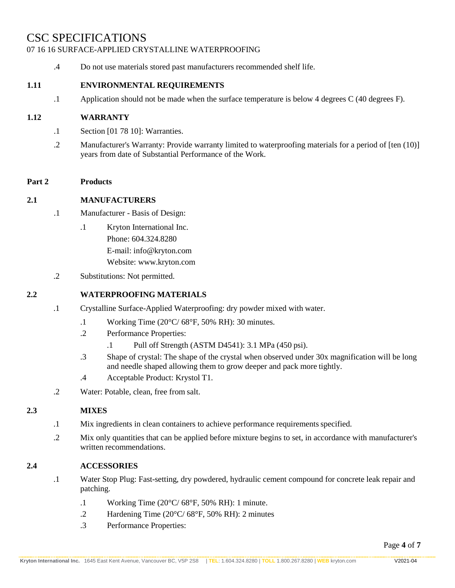## CSC SPECIFICATIONS

#### 07 16 16 SURFACE-APPLIED CRYSTALLINE WATERPROOFING

.4 Do not use materials stored past manufacturers recommended shelf life.

#### **1.11 ENVIRONMENTAL REQUIREMENTS**

.1 Application should not be made when the surface temperature is below 4 degrees C (40 degrees F).

#### **1.12 WARRANTY**

- .1 Section [01 78 10]: Warranties.
- .2 Manufacturer's Warranty: Provide warranty limited to waterproofing materials for a period of [ten (10)] years from date of Substantial Performance of the Work.

#### **Part 2 Products**

#### **2.1 MANUFACTURERS**

- .1 Manufacturer Basis of Design:
	- .1 Kryton International Inc. Phone: 604.324.8280 E-mail[: info@kryton.com](mailto:info@kryton.com) Website: [www.kryton.com](http://www.kryton.com/)
- .2 Substitutions: Not permitted.

#### **2.2 WATERPROOFING MATERIALS**

- .1 Crystalline Surface-Applied Waterproofing: dry powder mixed with water.
	- .1 Working Time (20°C/ 68°F, 50% RH): 30 minutes.
	- .2 Performance Properties:
		- .1 Pull off Strength (ASTM D4541): 3.1 MPa (450 psi).
	- .3 Shape of crystal: The shape of the crystal when observed under 30x magnification will be long and needle shaped allowing them to grow deeper and pack more tightly.
	- .4 Acceptable Product: Krystol T1.
- .2 Water: Potable, clean, free from salt.

#### **2.3 MIXES**

- .1 Mix ingredients in clean containers to achieve performance requirementsspecified.
- .2 Mix only quantities that can be applied before mixture begins to set, in accordance with manufacturer's written recommendations.

#### **2.4 ACCESSORIES**

- .1 Water Stop Plug: Fast-setting, dry powdered, hydraulic cement compound for concrete leak repair and patching.
	- .1 Working Time (20°C/ 68°F, 50% RH): 1 minute.
	- .2 Hardening Time (20°C/ 68°F, 50% RH): 2 minutes
	- .3 Performance Properties: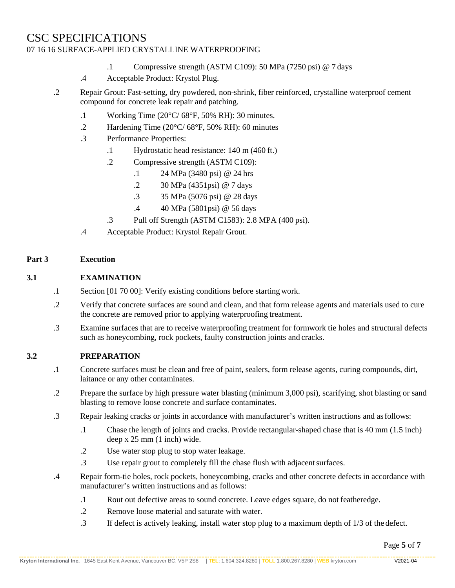- .1 Compressive strength (ASTM C109): 50 MPa (7250 psi) @ 7 days
- .4 Acceptable Product: Krystol Plug.
- .2 Repair Grout: Fast-setting, dry powdered, non-shrink, fiber reinforced, crystalline waterproof cement compound for concrete leak repair and patching.
	- .1 Working Time (20°C/ 68°F, 50% RH): 30 minutes.
	- .2 Hardening Time (20°C/ 68°F, 50% RH): 60 minutes
	- .3 Performance Properties:
		- .1 Hydrostatic head resistance: 140 m (460 ft.)
		- .2 Compressive strength (ASTM C109):
			- .1 24 MPa (3480 psi) @ 24 hrs
			- .2 30 MPa (4351psi) @ 7 days
			- .3 35 MPa (5076 psi) @ 28 days
			- .4 40 MPa (5801psi) @ 56 days
		- .3 Pull off Strength (ASTM C1583): 2.8 MPA (400 psi).
	- .4 Acceptable Product: Krystol Repair Grout.

#### **Part 3 Execution**

#### **3.1 EXAMINATION**

- .1 Section [01 70 00]: Verify existing conditions before starting work.
- .2 Verify that concrete surfaces are sound and clean, and that form release agents and materials used to cure the concrete are removed prior to applying waterproofing treatment.
- .3 Examine surfaces that are to receive waterproofing treatment for formwork tie holes and structural defects such as honeycombing, rock pockets, faulty construction joints and cracks.

#### **3.2 PREPARATION**

- .1 Concrete surfaces must be clean and free of paint, sealers, form release agents, curing compounds, dirt, laitance or any other contaminates.
- .2 Prepare the surface by high pressure water blasting (minimum 3,000 psi), scarifying, shot blasting or sand blasting to remove loose concrete and surface contaminates.
- .3 Repair leaking cracks or joints in accordance with manufacturer's written instructions and asfollows:
	- .1 Chase the length of joints and cracks. Provide rectangular-shaped chase that is 40 mm (1.5 inch) deep x 25 mm (1 inch) wide.
	- .2 Use water stop plug to stop water leakage.
	- .3 Use repair grout to completely fill the chase flush with adjacent surfaces.
- .4 Repair form-tie holes, rock pockets, honeycombing, cracks and other concrete defects in accordance with manufacturer's written instructions and as follows:
	- .1 Rout out defective areas to sound concrete. Leave edges square, do not featheredge.
	- .2 Remove loose material and saturate with water.
	- .3 If defect is actively leaking, install water stop plug to a maximum depth of 1/3 of the defect.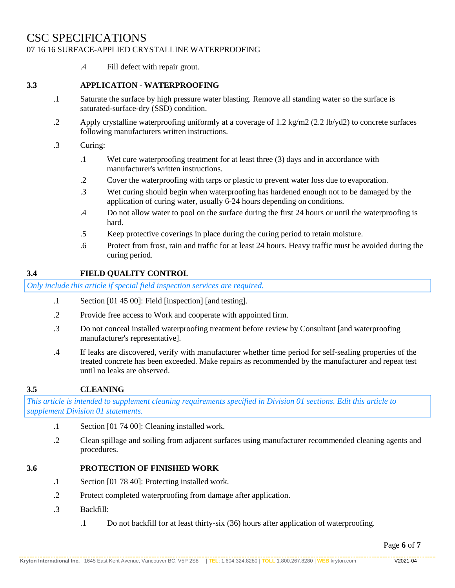.4 Fill defect with repair grout.

#### **3.3 APPLICATION - WATERPROOFING**

- .1 Saturate the surface by high pressure water blasting. Remove all standing water so the surface is saturated-surface-dry (SSD) condition.
- .2 Apply crystalline waterproofing uniformly at a coverage of 1.2 kg/m2 (2.2 lb/yd2) to concrete surfaces following manufacturers written instructions.
- .3 Curing:
	- .1 Wet cure waterproofing treatment for at least three (3) days and in accordance with manufacturer's written instructions.
	- .2 Cover the waterproofing with tarps or plastic to prevent water loss due to evaporation.
	- .3 Wet curing should begin when waterproofing has hardened enough not to be damaged by the application of curing water, usually 6-24 hours depending on conditions.
	- .4 Do not allow water to pool on the surface during the first 24 hours or until the waterproofing is hard.
	- .5 Keep protective coverings in place during the curing period to retain moisture.
	- .6 Protect from frost, rain and traffic for at least 24 hours. Heavy traffic must be avoided during the curing period.

#### **3.4 FIELD QUALITY CONTROL**

*Only include this article if special field inspection services are required.*

- .1 Section [01 45 00]: Field [inspection] [and testing].
- .2 Provide free access to Work and cooperate with appointed firm.
- .3 Do not conceal installed waterproofing treatment before review by Consultant [and waterproofing manufacturer's representative].
- .4 If leaks are discovered, verify with manufacturer whether time period for self-sealing properties of the treated concrete has been exceeded. Make repairs as recommended by the manufacturer and repeat test until no leaks are observed.

#### **3.5 CLEANING**

*This article is intended to supplement cleaning requirements specified in Division 01 sections. Edit this article to supplement Division 01 statements.*

- .1 Section [01 74 00]: Cleaning installed work.
- .2 Clean spillage and soiling from adjacent surfaces using manufacturer recommended cleaning agents and procedures.

#### **3.6 PROTECTION OF FINISHED WORK**

- .1 Section [01 78 40]: Protecting installed work.
- .2 Protect completed waterproofing from damage after application.
- .3 Backfill:
	- .1 Do not backfill for at least thirty-six (36) hours after application of waterproofing.